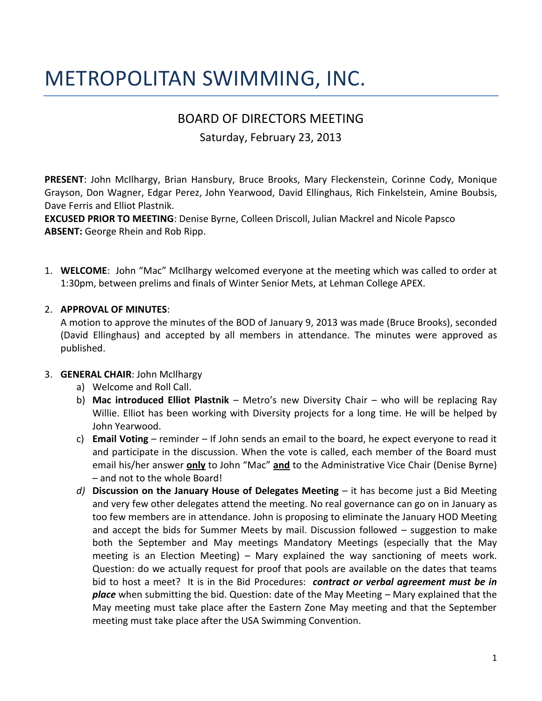# METROPOLITAN SWIMMING, INC.

# BOARD OF DIRECTORS MEETING

Saturday, February 23, 2013

**PRESENT**: John McIlhargy, Brian Hansbury, Bruce Brooks, Mary Fleckenstein, Corinne Cody, Monique Grayson, Don Wagner, Edgar Perez, John Yearwood, David Ellinghaus, Rich Finkelstein, Amine Boubsis, Dave Ferris and Elliot Plastnik.

**EXCUSED PRIOR TO MEETING**: Denise Byrne, Colleen Driscoll, Julian Mackrel and Nicole Papsco **ABSENT:** George Rhein and Rob Ripp.

1. **WELCOME**: John "Mac" McIlhargy welcomed everyone at the meeting which was called to order at 1:30pm, between prelims and finals of Winter Senior Mets, at Lehman College APEX.

# 2. **APPROVAL OF MINUTES**:

A motion to approve the minutes of the BOD of January 9, 2013 was made (Bruce Brooks), seconded (David Ellinghaus) and accepted by all members in attendance. The minutes were approved as published.

# 3. **GENERAL CHAIR**: John McIlhargy

- a) Welcome and Roll Call.
- b) **Mac introduced Elliot Plastnik** Metro's new Diversity Chair who will be replacing Ray Willie. Elliot has been working with Diversity projects for a long time. He will be helped by John Yearwood.
- c) **Email Voting** reminder If John sends an email to the board, he expect everyone to read it and participate in the discussion. When the vote is called, each member of the Board must email his/her answer **only** to John "Mac" **and** to the Administrative Vice Chair (Denise Byrne) – and not to the whole Board!
- *d)* **Discussion on the January House of Delegates Meeting** it has become just a Bid Meeting and very few other delegates attend the meeting. No real governance can go on in January as too few members are in attendance. John is proposing to eliminate the January HOD Meeting and accept the bids for Summer Meets by mail. Discussion followed – suggestion to make both the September and May meetings Mandatory Meetings (especially that the May meeting is an Election Meeting) – Mary explained the way sanctioning of meets work. Question: do we actually request for proof that pools are available on the dates that teams bid to host a meet? It is in the Bid Procedures: *contract or verbal agreement must be in place* when submitting the bid. Question: date of the May Meeting – Mary explained that the May meeting must take place after the Eastern Zone May meeting and that the September meeting must take place after the USA Swimming Convention.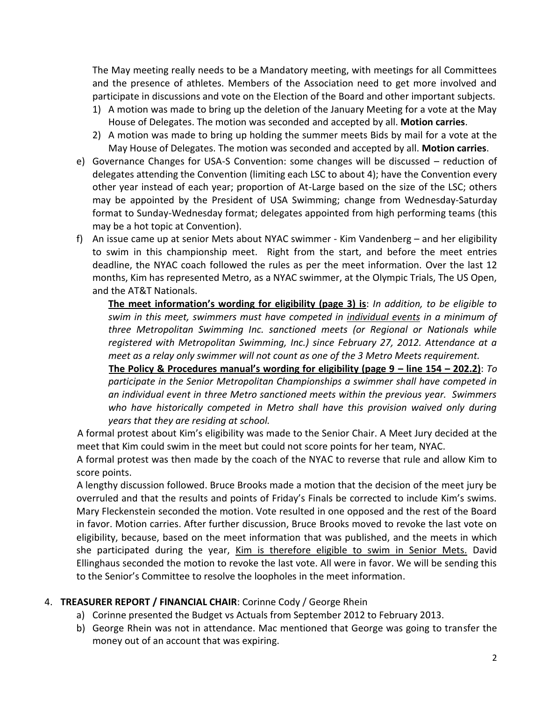The May meeting really needs to be a Mandatory meeting, with meetings for all Committees and the presence of athletes. Members of the Association need to get more involved and participate in discussions and vote on the Election of the Board and other important subjects.

- 1) A motion was made to bring up the deletion of the January Meeting for a vote at the May House of Delegates. The motion was seconded and accepted by all. **Motion carries**.
- 2) A motion was made to bring up holding the summer meets Bids by mail for a vote at the May House of Delegates. The motion was seconded and accepted by all. **Motion carries**.
- e) Governance Changes for USA-S Convention: some changes will be discussed reduction of delegates attending the Convention (limiting each LSC to about 4); have the Convention every other year instead of each year; proportion of At-Large based on the size of the LSC; others may be appointed by the President of USA Swimming; change from Wednesday-Saturday format to Sunday-Wednesday format; delegates appointed from high performing teams (this may be a hot topic at Convention).
- f) An issue came up at senior Mets about NYAC swimmer Kim Vandenberg and her eligibility to swim in this championship meet. Right from the start, and before the meet entries deadline, the NYAC coach followed the rules as per the meet information. Over the last 12 months, Kim has represented Metro, as a NYAC swimmer, at the Olympic Trials, The US Open, and the AT&T Nationals.

**The meet information's wording for eligibility (page 3) is**: *In addition, to be eligible to swim in this meet, swimmers must have competed in individual events in a minimum of three Metropolitan Swimming Inc. sanctioned meets (or Regional or Nationals while registered with Metropolitan Swimming, Inc.) since February 27, 2012. Attendance at a meet as a relay only swimmer will not count as one of the 3 Metro Meets requirement.*

**The Policy & Procedures manual's wording for eligibility (page 9 – line 154 – 202.2)**: *To participate in the Senior Metropolitan Championships a swimmer shall have competed in an individual event in three Metro sanctioned meets within the previous year. Swimmers*  who have historically competed in Metro shall have this provision waived only during *years that they are residing at school.*

A formal protest about Kim's eligibility was made to the Senior Chair. A Meet Jury decided at the meet that Kim could swim in the meet but could not score points for her team, NYAC.

A formal protest was then made by the coach of the NYAC to reverse that rule and allow Kim to score points.

A lengthy discussion followed. Bruce Brooks made a motion that the decision of the meet jury be overruled and that the results and points of Friday's Finals be corrected to include Kim's swims. Mary Fleckenstein seconded the motion. Vote resulted in one opposed and the rest of the Board in favor. Motion carries. After further discussion, Bruce Brooks moved to revoke the last vote on eligibility, because, based on the meet information that was published, and the meets in which she participated during the year, Kim is therefore eligible to swim in Senior Mets. David Ellinghaus seconded the motion to revoke the last vote. All were in favor. We will be sending this to the Senior's Committee to resolve the loopholes in the meet information.

# 4. **TREASURER REPORT / FINANCIAL CHAIR**: Corinne Cody / George Rhein

- a) Corinne presented the Budget vs Actuals from September 2012 to February 2013.
- b) George Rhein was not in attendance. Mac mentioned that George was going to transfer the money out of an account that was expiring.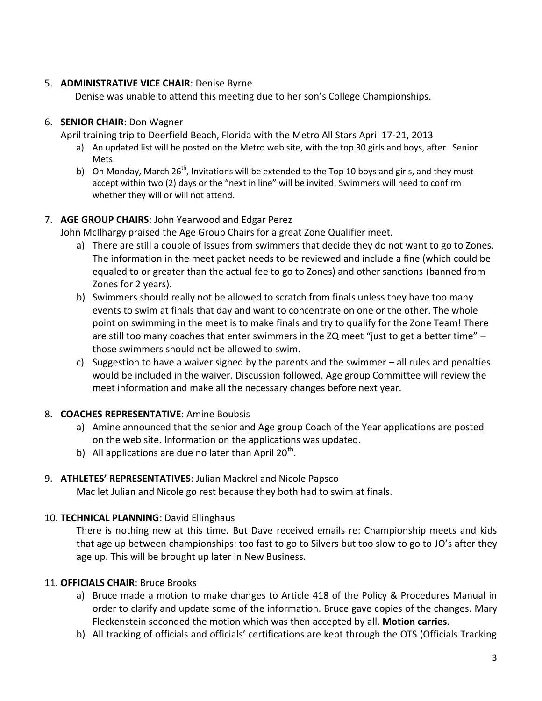# 5. **ADMINISTRATIVE VICE CHAIR**: Denise Byrne

Denise was unable to attend this meeting due to her son's College Championships.

# 6. **SENIOR CHAIR**: Don Wagner

April training trip to Deerfield Beach, Florida with the Metro All Stars April 17-21, 2013

- a) An updated list will be posted on the Metro web site, with the top 30 girls and boys, after Senior Mets.
- b) On Monday, March 26<sup>th</sup>, Invitations will be extended to the Top 10 boys and girls, and they must accept within two (2) days or the "next in line" will be invited. Swimmers will need to confirm whether they will or will not attend.

# 7. **AGE GROUP CHAIRS**: John Yearwood and Edgar Perez

John McIlhargy praised the Age Group Chairs for a great Zone Qualifier meet.

- a) There are still a couple of issues from swimmers that decide they do not want to go to Zones. The information in the meet packet needs to be reviewed and include a fine (which could be equaled to or greater than the actual fee to go to Zones) and other sanctions (banned from Zones for 2 years).
- b) Swimmers should really not be allowed to scratch from finals unless they have too many events to swim at finals that day and want to concentrate on one or the other. The whole point on swimming in the meet is to make finals and try to qualify for the Zone Team! There are still too many coaches that enter swimmers in the ZQ meet "just to get a better time"  $$ those swimmers should not be allowed to swim.
- c) Suggestion to have a waiver signed by the parents and the swimmer all rules and penalties would be included in the waiver. Discussion followed. Age group Committee will review the meet information and make all the necessary changes before next year.

# 8. **COACHES REPRESENTATIVE**: Amine Boubsis

- a) Amine announced that the senior and Age group Coach of the Year applications are posted on the web site. Information on the applications was updated.
- b) All applications are due no later than April 20<sup>th</sup>.

# 9. **ATHLETES' REPRESENTATIVES**: Julian Mackrel and Nicole Papsco

Mac let Julian and Nicole go rest because they both had to swim at finals.

# 10. **TECHNICAL PLANNING**: David Ellinghaus

There is nothing new at this time. But Dave received emails re: Championship meets and kids that age up between championships: too fast to go to Silvers but too slow to go to JO's after they age up. This will be brought up later in New Business.

# 11. **OFFICIALS CHAIR**: Bruce Brooks

- a) Bruce made a motion to make changes to Article 418 of the Policy & Procedures Manual in order to clarify and update some of the information. Bruce gave copies of the changes. Mary Fleckenstein seconded the motion which was then accepted by all. **Motion carries**.
- b) All tracking of officials and officials' certifications are kept through the OTS (Officials Tracking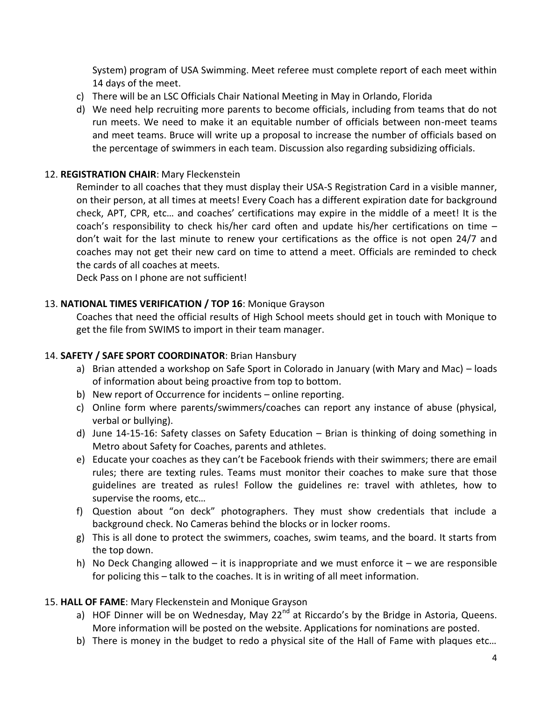System) program of USA Swimming. Meet referee must complete report of each meet within 14 days of the meet.

- c) There will be an LSC Officials Chair National Meeting in May in Orlando, Florida
- d) We need help recruiting more parents to become officials, including from teams that do not run meets. We need to make it an equitable number of officials between non-meet teams and meet teams. Bruce will write up a proposal to increase the number of officials based on the percentage of swimmers in each team. Discussion also regarding subsidizing officials.

#### 12. **REGISTRATION CHAIR**: Mary Fleckenstein

Reminder to all coaches that they must display their USA-S Registration Card in a visible manner, on their person, at all times at meets! Every Coach has a different expiration date for background check, APT, CPR, etc… and coaches' certifications may expire in the middle of a meet! It is the coach's responsibility to check his/her card often and update his/her certifications on time – don't wait for the last minute to renew your certifications as the office is not open 24/7 and coaches may not get their new card on time to attend a meet. Officials are reminded to check the cards of all coaches at meets.

Deck Pass on I phone are not sufficient!

# 13. **NATIONAL TIMES VERIFICATION / TOP 16**: Monique Grayson

Coaches that need the official results of High School meets should get in touch with Monique to get the file from SWIMS to import in their team manager.

# 14. **SAFETY / SAFE SPORT COORDINATOR**: Brian Hansbury

- a) Brian attended a workshop on Safe Sport in Colorado in January (with Mary and Mac) loads of information about being proactive from top to bottom.
- b) New report of Occurrence for incidents online reporting.
- c) Online form where parents/swimmers/coaches can report any instance of abuse (physical, verbal or bullying).
- d) June 14-15-16: Safety classes on Safety Education Brian is thinking of doing something in Metro about Safety for Coaches, parents and athletes.
- e) Educate your coaches as they can't be Facebook friends with their swimmers; there are email rules; there are texting rules. Teams must monitor their coaches to make sure that those guidelines are treated as rules! Follow the guidelines re: travel with athletes, how to supervise the rooms, etc…
- f) Question about "on deck" photographers. They must show credentials that include a background check. No Cameras behind the blocks or in locker rooms.
- g) This is all done to protect the swimmers, coaches, swim teams, and the board. It starts from the top down.
- h) No Deck Changing allowed it is inappropriate and we must enforce it we are responsible for policing this – talk to the coaches. It is in writing of all meet information.

#### 15. **HALL OF FAME**: Mary Fleckenstein and Monique Grayson

- a) HOF Dinner will be on Wednesday, May  $22^{nd}$  at Riccardo's by the Bridge in Astoria, Queens. More information will be posted on the website. Applications for nominations are posted.
- b) There is money in the budget to redo a physical site of the Hall of Fame with plaques etc…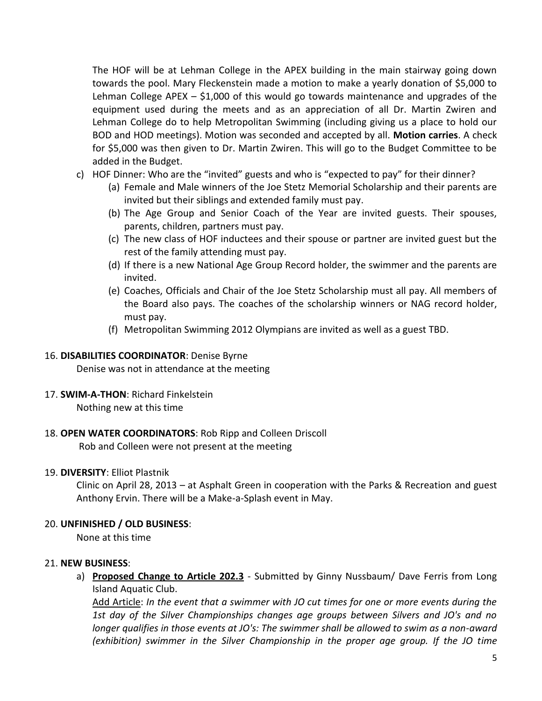The HOF will be at Lehman College in the APEX building in the main stairway going down towards the pool. Mary Fleckenstein made a motion to make a yearly donation of \$5,000 to Lehman College APEX  $-$  \$1,000 of this would go towards maintenance and upgrades of the equipment used during the meets and as an appreciation of all Dr. Martin Zwiren and Lehman College do to help Metropolitan Swimming (including giving us a place to hold our BOD and HOD meetings). Motion was seconded and accepted by all. **Motion carries**. A check for \$5,000 was then given to Dr. Martin Zwiren. This will go to the Budget Committee to be added in the Budget.

- c) HOF Dinner: Who are the "invited" guests and who is "expected to pay" for their dinner?
	- (a) Female and Male winners of the Joe Stetz Memorial Scholarship and their parents are invited but their siblings and extended family must pay.
	- (b) The Age Group and Senior Coach of the Year are invited guests. Their spouses, parents, children, partners must pay.
	- (c) The new class of HOF inductees and their spouse or partner are invited guest but the rest of the family attending must pay.
	- (d) If there is a new National Age Group Record holder, the swimmer and the parents are invited.
	- (e) Coaches, Officials and Chair of the Joe Stetz Scholarship must all pay. All members of the Board also pays. The coaches of the scholarship winners or NAG record holder, must pay.
	- (f) Metropolitan Swimming 2012 Olympians are invited as well as a guest TBD.

#### 16. **DISABILITIES COORDINATOR**: Denise Byrne

Denise was not in attendance at the meeting

#### 17. **SWIM-A-THON**: Richard Finkelstein

Nothing new at this time

#### 18. **OPEN WATER COORDINATORS**: Rob Ripp and Colleen Driscoll

Rob and Colleen were not present at the meeting

#### 19. **DIVERSITY**: Elliot Plastnik

Clinic on April 28, 2013 – at Asphalt Green in cooperation with the Parks & Recreation and guest Anthony Ervin. There will be a Make-a-Splash event in May.

#### 20. **UNFINISHED / OLD BUSINESS**:

None at this time

#### 21. **NEW BUSINESS**:

a) **Proposed Change to Article 202.3** - Submitted by Ginny Nussbaum/ Dave Ferris from Long Island Aquatic Club.

Add Article: *In the event that a swimmer with JO cut times for one or more events during the 1st day of the Silver Championships changes age groups between Silvers and JO's and no longer qualifies in those events at JO's: The swimmer shall be allowed to swim as a non-award (exhibition) swimmer in the Silver Championship in the proper age group. If the JO time*